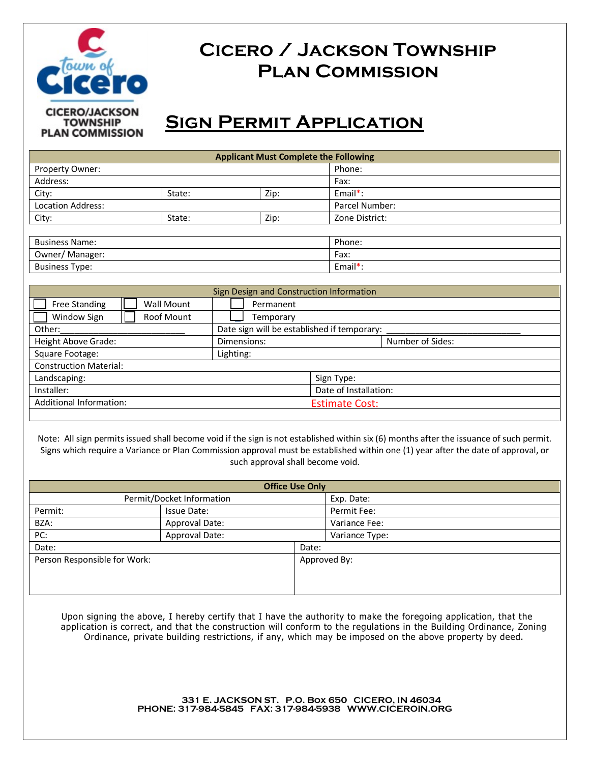

## **Cicero / Jackson Township Plan Commission**

# **Sign Permit Application**

| <b>Applicant Must Complete the Following</b> |        |      |                |  |  |  |
|----------------------------------------------|--------|------|----------------|--|--|--|
| Property Owner:                              |        |      | Phone:         |  |  |  |
| Address:                                     |        |      | Fax:           |  |  |  |
| City:                                        | State: | Zip: | $Email^*$ :    |  |  |  |
| Location Address:                            |        |      | Parcel Number: |  |  |  |
| City:                                        | State: | Zip: | Zone District: |  |  |  |
|                                              |        |      |                |  |  |  |
| <b>Business Name:</b>                        |        |      | Phone:         |  |  |  |
| Owner/Manager:                               |        |      | Fax:           |  |  |  |
| <b>Business Type:</b>                        |        |      | Email $*$ :    |  |  |  |
|                                              |        |      |                |  |  |  |

| Sign Design and Construction Information |                                             |            |                  |  |  |  |
|------------------------------------------|---------------------------------------------|------------|------------------|--|--|--|
| Free Standing<br>Wall Mount              | Permanent                                   |            |                  |  |  |  |
| Window Sign<br>Roof Mount                | Temporary                                   |            |                  |  |  |  |
| Other:                                   | Date sign will be established if temporary: |            |                  |  |  |  |
| Height Above Grade:                      | Dimensions:                                 |            | Number of Sides: |  |  |  |
| Square Footage:                          | Lighting:                                   |            |                  |  |  |  |
| <b>Construction Material:</b>            |                                             |            |                  |  |  |  |
| Landscaping:                             |                                             | Sign Type: |                  |  |  |  |
| Installer:                               | Date of Installation:                       |            |                  |  |  |  |
| <b>Additional Information:</b>           | <b>Estimate Cost:</b>                       |            |                  |  |  |  |
|                                          |                                             |            |                  |  |  |  |

Note: All sign permits issued shall become void if the sign is not established within six (6) months after the issuance of such permit. Signs which require a Variance or Plan Commission approval must be established within one (1) year after the date of approval, or such approval shall become void.

| <b>Office Use Only</b>       |                |            |                |  |  |
|------------------------------|----------------|------------|----------------|--|--|
| Permit/Docket Information    |                | Exp. Date: |                |  |  |
| Permit:                      | Issue Date:    |            | Permit Fee:    |  |  |
| BZA:                         | Approval Date: |            | Variance Fee:  |  |  |
| PC:                          | Approval Date: |            | Variance Type: |  |  |
| Date:                        |                | Date:      |                |  |  |
| Person Responsible for Work: |                |            | Approved By:   |  |  |
|                              |                |            |                |  |  |
|                              |                |            |                |  |  |
|                              |                |            |                |  |  |

Upon signing the above, I hereby certify that I have the authority to make the foregoing application, that the application is correct, and that the construction will conform to the regulations in the Building Ordinance, Zoning Ordinance, private building restrictions, if any, which may be imposed on the above property by deed.

> **331 E. JACKSON ST. P.O. Box 650 CICERO, IN 46034 PHONE: 317-984-5845 FAX: 317-984-5938 WWW.CICEROIN.ORG**